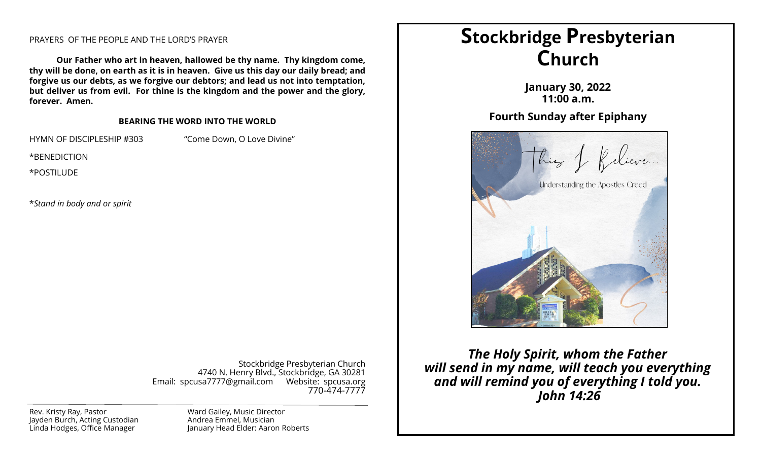## PRAYERS OF THE PEOPLE AND THE LORD'S PRAYER

**Our Father who art in heaven, hallowed be thy name. Thy kingdom come, thy will be done, on earth as it is in heaven. Give us this day our daily bread; and forgive us our debts, as we forgive our debtors; and lead us not into temptation, but deliver us from evil. For thine is the kingdom and the power and the glory, forever. Amen.**

#### **BEARING THE WORD INTO THE WORLD**

HYMN OF DISCIPLESHIP #303 "Come Down, O Love Divine"

\*BENEDICTION

\*POSTILUDE

\**Stand in body and or spirit*

Stockbridge Presbyterian Church 4740 N. Henry Blvd., Stockbridge, GA 30281 Email: spcusa7777@gmail.com Website: spcusa.org 770-474-7777

Rev. Kristy Ray, Pastor Jayden Burch, Acting Custodian Linda Hodges, Office Manager

Ward Gailey, Music Director Andrea Emmel, Musician January Head Elder: Aaron Roberts

# **Stockbridge Presbyterian Church**

**January 30, 2022 11:00 a.m.**

## **Fourth Sunday after Epiphany**



*The Holy Spirit, whom the Father will send in my name, will teach you everything and will remind you of everything I told you. John 14:26*